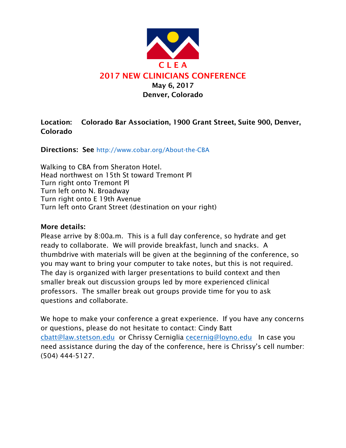

## Location: Colorado Bar Association, 1900 Grant Street, Suite 900, Denver, Colorado

Directions: See http://www.cobar.org/About-the-CBA

Walking to CBA from Sheraton Hotel. Head northwest on 15th St toward Tremont Pl Turn right onto Tremont Pl Turn left onto N. Broadway Turn right onto E 19th Avenue Turn left onto Grant Street (destination on your right)

## More details:

Please arrive by 8:00a.m. This is a full day conference, so hydrate and get ready to collaborate. We will provide breakfast, lunch and snacks. A thumbdrive with materials will be given at the beginning of the conference, so you may want to bring your computer to take notes, but this is not required. The day is organized with larger presentations to build context and then smaller break out discussion groups led by more experienced clinical professors. The smaller break out groups provide time for you to ask questions and collaborate.

We hope to make your conference a great experience. If you have any concerns or questions, please do not hesitate to contact: Cindy Batt cbatt@law.stetson.edu or Chrissy Cerniglia cecernig@loyno.edu In case you need assistance during the day of the conference, here is Chrissy's cell number: (504) 444-5127.